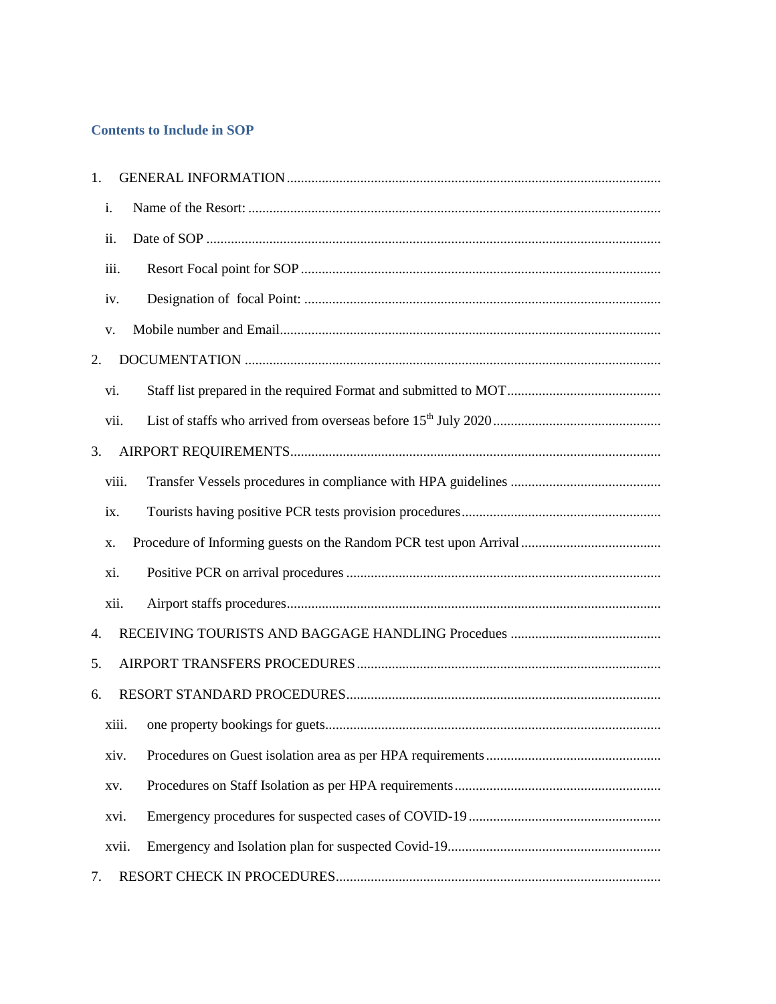## **Contents to Include in SOP**

| 1.    |  |  |
|-------|--|--|
| i.    |  |  |
| ii.   |  |  |
| iii.  |  |  |
| iv.   |  |  |
| V.    |  |  |
| 2.    |  |  |
| vi.   |  |  |
| vii.  |  |  |
| 3.    |  |  |
| viii. |  |  |
| ix.   |  |  |
| X.    |  |  |
| xi.   |  |  |
| xii.  |  |  |
| 4.    |  |  |
| 5.    |  |  |
| 6.    |  |  |
| xiii. |  |  |
| xiv.  |  |  |
| XV.   |  |  |
| xvi.  |  |  |
| xvii. |  |  |
| 7.    |  |  |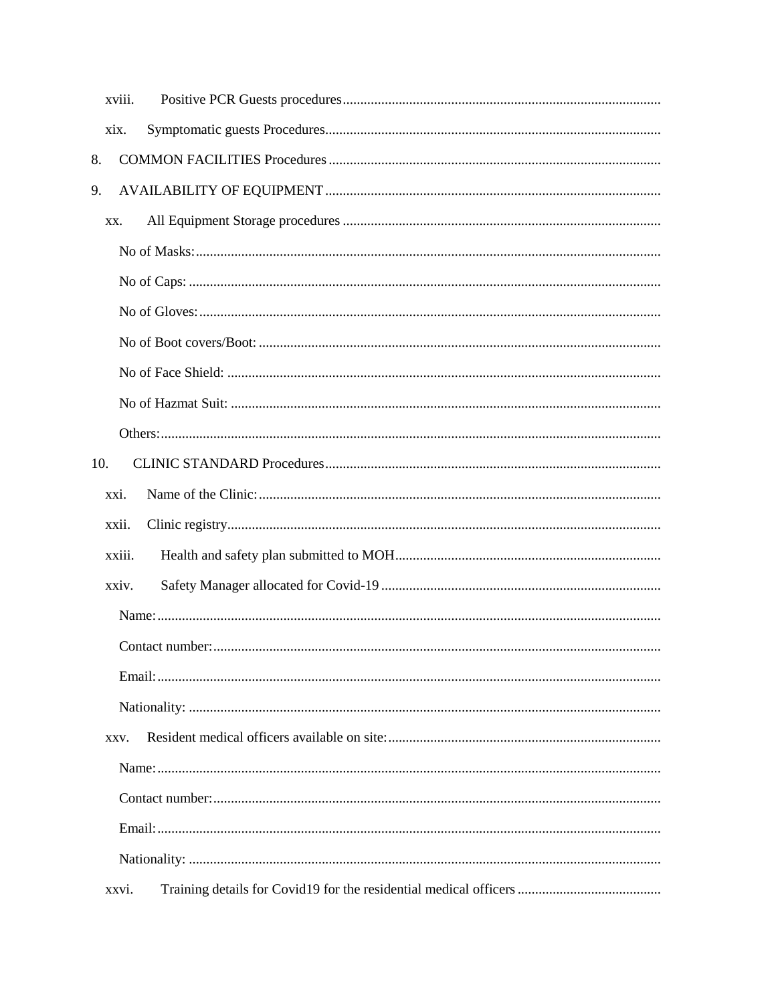| xviii. |
|--------|
| xix.   |
| 8.     |
| 9.     |
| XX.    |
|        |
|        |
|        |
|        |
|        |
|        |
|        |
| 10.    |
| xxi.   |
| xxii.  |
| xxiii. |
| xxiv.  |
|        |
|        |
|        |
|        |
| XXV.   |
|        |
|        |
|        |
|        |
| xxvi.  |